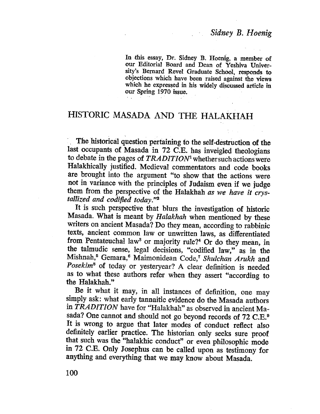In this essay, Dr. Sidney B. Hoenig, a member of our Editorial Board and Dean of Yeshiva University's Bernard Revel Graduate Schòol, responds to objections which have been raised against the views which he expressed in his widely discussed article in our Spring 1970 issue.

# HISTORIC MASADA AND THE HALAKHAH

. . . Themstorical question pertainig to the self-destruction of the last occupants of Masada in 72 C.E. has inveigled theologians to debate in the pages of TRADITION<sup>1</sup> whethersuch actions were Halakhically justified. Medieval commentators and code books are brought into the argument "to show that the actions were not in variance with the principles of Judaism even if we judge them from the perspective of the Halakhah as we have it crystallized and codified today."<sup>2</sup>

It is such perspective that blurs the investigation of historic Masada. What is meant by Halakhah when mentioned by these wrters on ancient Masada? Do they mean, according to rabbinic texts, ancient common law or unwritten laws, as differentiated from Pentateuchal law<sup>3</sup> or majority rule?<sup>4</sup> Or do they mean, in the talmudic sense, legal decisions, "codifed law," as in the Mishnah,<sup>5</sup> Gemara,<sup>6</sup> Maimonidean Code,<sup>7</sup> Shulchan Arukh and Posekim<sup>8</sup> of today or yesteryear? A clear definition is needed as to what these authors refer when they assert "according to the Halakhah."

Be it what it may, in all instances of definition, one may simply ask: what early tannaitic evidence do the Masada authors in TRADITION have for "Halakhah" as observed in ancient Masada? One cannot and should not go beyond records of 72 C.E.<sup>9</sup> It is wrong to argue that later modes of conduct reflect also definitely earlier practice. The historian only seeks sure proof that such was the "halakhic conduct" or even philosophic mode in 72 C.E. Only Josephus can be called upon as testimony for anything and everything that we may know about Masada.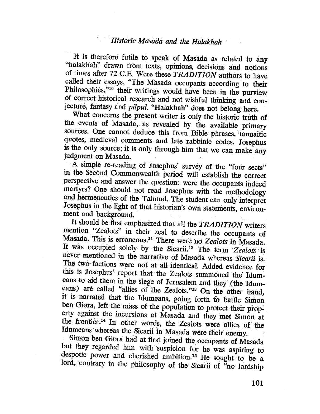## Historic Masada and the Halakhah

It is therefore futile to speak of Masada as related to any "halakhah" drawn from texts, opinions, decisions and notions of times after 72 C.E. Were these *TRADITION* authors to have called their essays, "The Masada occupants according to their Philosophies,"<sup>10</sup> their writings would have been in the purview of correct historical research and not wishful thinking and conjecture, fantasy and pilpul. "Halakhah" does not belong here.

What concerns the present writer is only the historic truth of the events of Masada, as revealed by the available primary sources. One cannot deduce this from Bible phrases, tannaitic quotes, medieval comments and late rabbinic codes. Josephus is the only source; it is only through him that we can make any judgment on Masada.

A simple re-reading of Josephus' survey of the "four sects" in the Second Commonwealth period will establish the correct perspective and answer the question: were the occupants indeed martyrs? One should not read Josephus with the methodology and hermeneutics of the Talmud. The student can only interpret Josephus in the light of that historian's own statements, environment and background.

It should be first emphasized that all the TRADITION writers mention "Zealots" in their zeal to describe the occupants of Masada. This is erroneous.<sup>11</sup> There were no Zealots in Masada. It was occupied solely by the Sicarii.<sup>12</sup> The term Zealots is never mentioned in the narrative of Masada whereas Sicarii is. The two factions were not at all identical. Added evidence for this is Josephus' report that the Zealots summoned the Idumeans to aid them in the siege of Jerusalem and they (the Idumeans) are called "allies of the Zealots."<sup>13</sup> On the other hand, it is narrated that the Idumeans, going forth to battle Simon ben Giora, left the mass of the population to protect their property against the incursions at Masada and they met Simon at the frontier.<sup>14</sup> In other words, the Zealots were allies of the Idumeans whereas the Sicarii in Masada were their enemy.

Simon ben Giora had at first joined the occupants of Masada but they regarded him with suspicion for he was aspiring to despotic power and cherished ambition.<sup>15</sup> He sought to be a lord, contrary to the philosophy of the Sicarii of "no lordship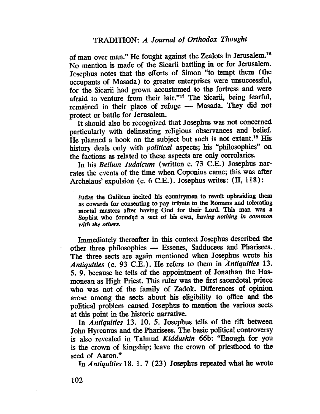of man over man." He fought against the Zealots in Jerusalem.16 No mention is made of the Sicarii battling in or for Jerusalem. Josephus notes that the efforts of Simon "to tempt them (the occupants of Masada) to greater enterprises were unsuccessful, for the Sicarii had grown accustomed to the fortress and were afraid to venture from their lair."<sup>17</sup> The Sicarii, being fearful, remained in their place of refuge - Masada. They did not protect or battle for Jerusalem.

It should also be recognized that Josephus was not concerned particularly with delineating religious observances and belief. He planned a book on the subject but such is not extant.<sup>18</sup> His history deals only with *political* aspects; his "philosophies" on the factions as related to these aspects are only corrolaries.

In his Bellum Judaicum (written c. 73 C.E.) Josephus narrates the events of the time when Coponius came; this was after Archelaus' expulsion (c. 6 C.E.). Josephus wrtes: (II, 118):

Judas the Galiean incited his countrymen to revolt upbraiding them as cowards for consenting to pay tribute to the Romans and tolerating mortal masters after having God for their Lord. This man was a Sophist who foundçd a sect of his own, having nothing in common with the others.

Immediately thereafter in ths context Josephus described the other three philosophies - Essenes, Sadducees and Pharisees. The three sects are again mentioned when Josephus wrote his Antiquities (c. 93 C.E.). He refers to them in Antiquities 13. S. 9. because he tells of the appointment of Jonathan the Hasmonean as High Priest. This ruler was the fist sacerdotal prince who was not of the family of Zadok. Diferences of opinon arose among the sects about his eligibility to office and the political problem caused Josephus to mention the various sects at this point in the historic narrative.

In Antiquities 13. 10. 5. Josephus tells of the rift between John Hyrcanus and the Pharisees. The basic political controversy is also revealed in Talmud Kiddushin 66b: "Enough for you is the crown of kingship; leave the crown of priesthood to the seed of Aaron."

In Antiquities 18. 1. 7 (23) Josephus repeated what he wrote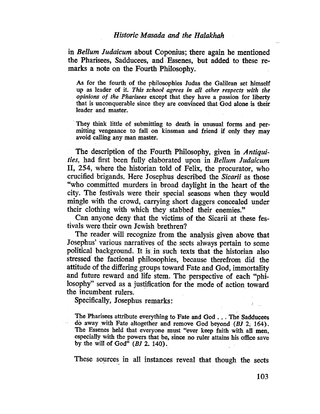### Historic Masada and the Halakhah

in Bellum Judaicum about Coponius; there again he mentioned the Pharisees, Sadducees, and Essenes, but added to these remarks a note on the Fourth Philosophy.

As for the fourth of the philosophies Judas the Galiean set himself up as leader of it. This school agrees in all other respects with the opinions of the Pharisees except that they have a passion for libert that is unconquerable since they are convinced that God alone is their leader and master.

They think little of submitting to death in unusual forms and permitting vengeance to fall on kinsman and friend if only they may avoid caling any man master.

The description of the Fourth Philosophy, given in Antiquities, had first been fully elaborated upon in Bellum Judaicum II, 254, where the historian told of Felix, the procurator, who crucified brigands. Here Josephus described the Sicarii as those "who committed murders in broad daylight in the heart of the city. The festivals were their special seasons when they would mingle with the crowd, carrying short daggers concealed under their clothing with which they stabbed their enemies."

Can anyone deny that the victims of the Sicarii at these festivals were their own Jewish brethren?

The reader will recognize from the analysis given above that Josephus' various narratives of the sects always pertain to some political background. It is in such texts that the historian also stressed the factional philosophies, because therefrom did the attitude of the differing groups toward Fate and God, immortality and future reward. and life stem. The perspective of each "philosophy" served as a justification for the mode of action toward the incumbent rulers.

Specifically, Josephus remarks:

The Pharisees attribute everyhing to Fate and God . . . The Sadducees do away with Fate altogether and remove God beyond (BJ 2. 164). The Essenes held that everyone must "ever keep faith with all men, especially with the powers that be, since no ruler attains his office save by the will of God"  $(BJ 2. 140)$ .

These sources in all instances reveal that though the sects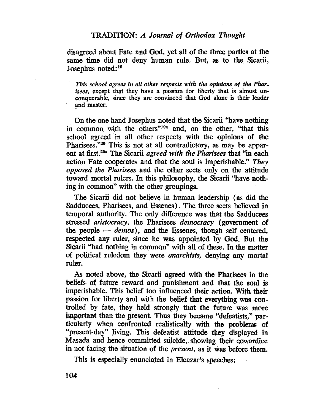disagreed about Fate and God, yet all of the three parties at the same time did not deny human rule. But, as to the Sicarii, Josephus noted:19

This school agrees in all other respects with the opinions of the Pharisees, except that they have a passion for liberty that is almost unconquerable, since they are convinced that God alone is their leader and master.

. On the one hand Josephus noted that the Sicarii "have nothing in common with the others"<sup>19a</sup> and, on the other, "that this school agreed in all other respects with the opinions of the Pharisees."<sup>20</sup> This is not at all contradictory, as may be apparent at first.<sup>20a</sup> The Sicarii *agreed with the Pharisees* that "in each action Fate cooperates and that the soul is imperishable." They opposed the Pharisees and the other sects only on the attitude toward mortal rulers. In this philosophy, the Sicarii "have nothing in common" with the other groupings.

The Sicarii did not believe in human leadership (as did the Sadducees, Pharisees, and Essenes). The three sects believed in temporal authority. The only difference was that the Sadducèes stressed aristocracy, the Pharisees democracy (government of the people  $-\neq$  demos), and the Essenes, though self centered, respected any ruler, since he was appointed by God. But the Sicarii "had nothing in common" with all of these. In the matter of political ruledom they were *anarchists*, denying any mortal ruler.

. As noted above, the Sicari agreed. with the Pharisees in the beliefs of future reward and punishment and that the soul is imperishable. This belief too influenced their action. With their passion for liberty and with the belief that everything was controlled by fate, they held strongly that the future was more important than the present. Thus they became "defeatists," particularly when confronted realistically with the problems of "present-day" living. This defeatist attitude they displayed in Masada and hence committed suicide, showing their cowardice in not facing the situation of the present, as it was before them.

This is especially enunciated in Eleazar's speeches: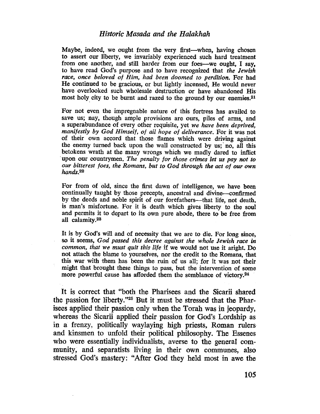#### Historic Masada and the Halakhah

Maybe, indeed, we ought from the very first-when, having chosen to assert our liberty, we invariably experienced such hard treatment from one another, and still harder from our foes-we ought, I say, to have read God's purpose and to have recognized that the Jewish race, once beloved of Him, had been doomed to perdition. For had He continued to be gracious, or but lightly incensed, He would never have overlooked such wholesale destruction or have abandoned His most holy city to be burnt and razed to the ground by our enemies.<sup>21</sup>

For not even the impregnable nature of this fortress has availed to save us; nay, though ample provisions are ours, piles of arms, and a superabundance of every other requisite, yet we have been deprived, manifestly by God Himself, of all hope of deliverance. For it was not of their own accord that those flames which were driving against the enemy turned back upon the wall constructed by us;' no, all this betokens wrath at the many wrongs which we madly dared to inflict upon our countrymen. The penalty for those crimes let us pay not to our bitterest foes, the Romans, but to God through the act of our own hands.<sup>22</sup>

For from of old, since the first dawn of intelligence, we have been continually taught by those precepts, ancestral and divine-confirmed by the deeds and noble spirit of our forefathers-that life, not death, is man's misfortune. For it is death which gives liberty to the soul and permits it to depart to its own pure abode, there to be free from all calamity.2S

It is by God's will and of necessity that we are to die. For long since, so it seems, God passed this decree against the whole Jewish race in common, that we must quit this life if we would not use it aright. Do not attach the blame to yourselves, nor the credit to the Romans, that this war with them has been the ruin of us all; for it was not their might that brought these things to pass, but the intervention of some more powerful cause has aforded them the semblance of victory.24

It is correct that "both the Pharisees and the Sicarii shared the passion for liberty."<sup>25</sup> But it must be stressed that the Pharisees applied their passion only when the Torah was in jeopardy, whereas the Sicarü applied their passion for God's Lordship as in a frenzy, politically waylaying high priests, Roman rulers. and kinsmen to unfold their political philosophy. The Essenes who were essentially individualists, averse to the general community, and separatists living in their own communes, also stressed God's mastery: "After God they held most in awe the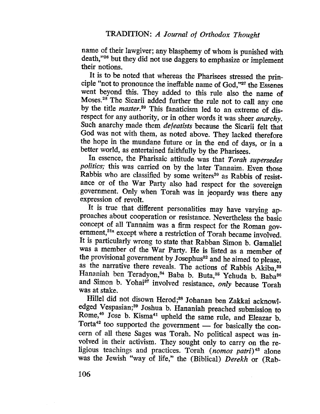name of their lawgiver; any blasphemy of whom is punished with death, "26 but they did not use daggers to emphasize or implement their notions.

It is to be noted that whereas the Pharisees stressed the principle "not to pronounce the ineffable name of God,"27 the Essenes went beyond this. They added to this rule also the name of Moses.<sup>28</sup> The Sicarii added further the rule not to call any one by the title *master*.<sup>29</sup> This fanaticism led to an extreme of disrespect for any authority, or in other words it was sheer *anarchy*. Such anarchy made them defeatists because the Sicarii felt that God was not with them, as noted above. They lacked therefore the hope in the mundane future or in the end of days, or in a better world, as entertained faithfully. by the Pharisees.

In essence, the Pharisaic attitude was that Torah supersedes politics; this was carried on by the later Tannaim. Even those Rabbis who are classified by some writers<sup>30</sup> as Rabbis of resistance or of the War Party also had respect for the sovereign . government. Only when Torah was in jeopardy was there any expression of revolt.

It is true that different personalities may have varying approaches about cooperation or resistance. Nevertheless the basic concept of all Tannaim was a firm respect for the Roman government,<sup>31a</sup> except where a restriction of Torah became involved. It is particularly wrong to state that Rabban Simon b. Gamaliel was a member of the War Party. He is listed as a member of the provisional government by Josephus<sup>32</sup> and he aimed to please, as the narrative there reveals. The actions of Rabbis Akiba,<sup>33</sup> Hananiah ben Teradyon,<sup>34</sup> Baba b. Buta,<sup>35</sup> Yehuda b. Baba<sup>36</sup> and Simon b. Yohai<sup>37</sup> involved resistance, only because Torah was at stake.

Hillel did not disown Herod;<sup>38</sup> Johanan ben Zakkai acknowledged Vespasian;<sup>39</sup> Joshua b. Hananiah preached submission to Rome,<sup>40</sup> Jose b. Kisma<sup>41</sup> upheld the same rule, and Eleazar b. Torta<sup>42</sup> too supported the government  $-$  for basically the concern of all these Sages was Torah. No political aspect was involved in their activism. They sought only to carry on the religious teachings and practices. Torah (nomos patri)<sup>43</sup> alone was the Jewish "way of life," the (Biblical) Derekh or (Rab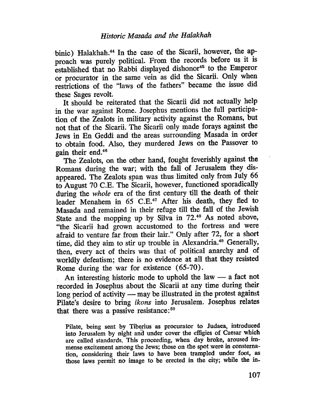binic) Halakhah.<sup>44</sup> In the case of the Sicarii, however, the approach was purely politicaL. From the records before us it is established that no Rabbi displayed dishonor<sup>45</sup> to the Emperor or procurator in the same vein as did the Sicarii. Only when restrictions of the "laws of the fathers" became the issue did these Sages revolt.

It should be reiterated that the Sicarii did not actually help in the war against Rome. Josephus mentions the full participation of the Zealots in military activity against the Romans, but not that of the Sicarü. The Sicarii only made forays against the Jews in En Geddi and the areas surrounding Masada in order to obtain food. Also, they murdered Jews on the Passover to gain their end.46

The Zealots, on the other hand, fought feverishly against the Romans during the war; with the fall of Jerusalem they disappeared. The Zealots span was thus limited only from July 66 to August 70 C.E. The Sicarii, however, functioned sporadically during the whole era of the first century till the death of their leader Menahem in  $65$  C.E.<sup>47</sup> After his death, they fled to Masada and remained in their refuge till the fall of the Jewish State and the mopping up by Silva in 72.48 As noted above, "the Sicarii had grown accustomed to the fortress and were afraid to venture far from their lair." Only after 72, for a short time, did they aim to stir up trouble in Alexandria.<sup>49</sup> Generally, then, every act of theirs was that of political anarchy and of worldly defeatism; there is no evidence at all that they resisted Rome during the war for existence (65-70).

An interesting historic mode to uphold the law  $-$  a fact not recorded in Josephus about the Sicarii at any time during their long period of activity  $-$  may be illustrated in the protest against Pilate's desire to bring ikons into Jerusalem. Josephus relates that there was a passive resistance:<sup>50</sup>

Pilate, being sent by Tiberius as procurator to Judaea, introduced into Jerusalem by night and under cover the effgies of Caesar which are called standards. This proceeding, when day broke, aroused immense excitement among the Jews; those on the spot were in consternation, considering their laws to have been trampled under foot, as those laws permit no image to be erected in the city; while the in-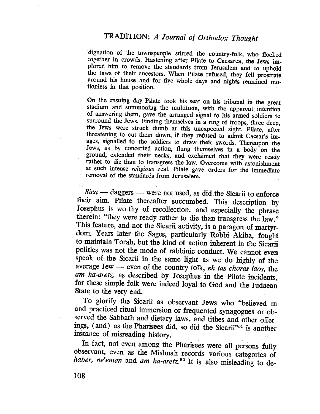dignation of the townspeople stirred the country-folk, who flocked together in crowds. Hastening after Pilate to Caesarea, the Jews im. plored him to remove the standards from Jerusalem and to uphold the laws of their ancestors. When Pilate refused, they fell prostrate around his house and for five whole days and nights remained motionless in that position. .

On the ensuing day Pilate took his seat on his tribunal in the great stadium and summoning the multitude, with the apparent intention of answering them, gave the arranged signal to his armed soldiers to surround the Jews. Finding themselves in a ring of troops, three deep, the Jews were struck dumb at this unexpected sight. Pilate, after threatening to cut them down, if they refused to admit Caesar's images, signalled to the soldiers to draw their swords. Thereupon the Jews, as by concerted action, flung themselves in a body on the ground, extended their necks, and exclaimed that they were ready rather to die than to transgress the law. Overcome with astonishment at such intense religious zeal. Pilate gave orders for the immediate removal of the standards from Jerusalem.

Sica - daggers - were not used, as did the Sicarii to enforce their aim. Pilate thereafter succumbed. This description by Josephus is worthy of recollection, and especially the phrase therein: "they were ready rather to die than transgress the law." This feature, and not the Sicarii activity, is a paragon of martyrdom. Years later the Sages, particularly Rabbi Akiba, fought to maintain Torah, but the kind of action inherent in the Sicari politics was not the mode of rabbinic conduct. We cannot even speak of the Sicarii in the same light as we do highly of the average Jew  $-$  even of the country folk, ek tas choras laos, the am ha-aretz, as described by Josephus in the Pilate incidents, for these simple folk were indeed loyal to God and the Judaean State to the very end.

To glorify the Sicarü as observant Jews who "believed in and practiced ritual immersion or frequented synagogues or observed the Sabbath and dietary laws, and tithes and other offerings, (and) as the Pharisees did, so did the Sicarii"<sup>51</sup> is another instance of misreading history.

In fact, not even among the Pharisees were all persons fully. observant, even as the Mishnah records various categories of haber, ne'eman and am ha-aretz.<sup>52</sup> It is also misleading to de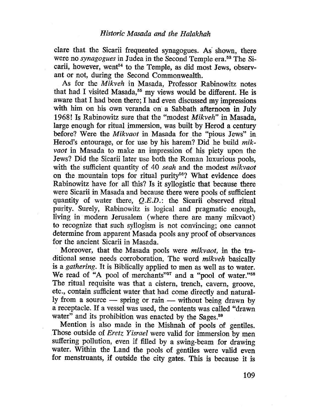clare that the Sicarii frequented synagogues. As' shown, there were no *synagogues* in Judea in the Second Temple era.<sup>53</sup> The Sicarii, however, went<sup>54</sup> to the Temple, as did most Jews, observant or not, during the Second Commonwealth.

As for the Mikveh in Masada, Professor Rabinowitz notes that had I visited Masada,<sup>55</sup> my views would be different. He is aware that I had been there; I had even discussed my impressions with him on his own veranda on a Sabbath afternoon in July 1968! Is Rabinowitz sure that the "modest Mikveh" in Masada, large enough for ritual immersion, was built by Herod a century before? Were the Mikvaot in Masada for the "pious Jews" in Herod's entourage, or for use by his harem? Did he build mikvaot in Masada to make an impression of his piety upon the Jews? Did the Sicarii later use both the Roman luxurious pools, with the sufficient quantity of 40 seah and the modest mikvaot on the mountain tops for ritual purity<sup>56</sup>? What evidence does Rabinowitz have for all this? Is it syllogistic that because there were Sicarii in Masada and because there were pools of sufficient quantity of water there,  $Q.E.D.$ : the Sicarii observed ritual purity. Surely, Rabinowitz is logical and pragmatic enough, living in modern Jerusalem (where there are many mikvaot) to recognize that such syllogism is not convincing; one cannot determine from apparent Masada pools any proof of observances for the ancient Sicarii in Masada.

Moreover, that the Masada pools were mikvaot, in the traditional sense needs corroboration. The word mikveh basically is a gathering. It is Biblically applied to men as well as to water. We read of "A pool of merchants"<sup>57</sup> and a "pool of water."<sup>58</sup> The ritual requisite was that a cistern, trench, cavern, groove, etc., contain sufficient water that had come directly and naturally from a source  $-$  spring or rain  $-$  without being drawn by a receptacle. If a vessel was used, the contents was called "drawn water" and its prohibition was enacted by the Sages.<sup>59</sup>

Mention is also made in the Mishnah of pools of gentiles. Those outside of *Eretz Yisrael* were valid for immersion by men suffering pollution, even if filled by a swing-beam for drawing water. Within the Land the pools of gentiles were valid even for menstruants, if outside the city gates. This is because it is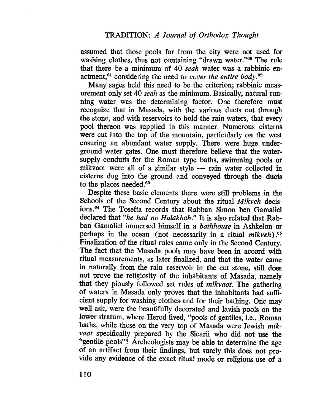assumed that' those pools far from the city were not used for washing clothes, thus not containing "drawn water."<sup>60</sup> The rule that there be a minimum of 40 seah water was a rabbinic enactment,<sup>61</sup> considering the need to cover the entire body.<sup>62</sup>

Many sages held this need to be the criterion; rabbinic measurement only set 40 *seah* as the minimum. Basically, natural running water was the determining factor. One therefore must recognize that in Masada, with the various ducts cut through the stone, and with reservoirs to hold the rain waters, that every pool thereon was supplied in this manner. Numerous cisterns were cut into the top of the mountain, particularly on the west ensuring an abundant water supply. There were huge underground water gates. One must therefore believe that the watersupply conduits for thè Roman type baths, swimming pools or mikvaot were all of a similar style — rain water collected in cisterns dug into the ground and conveyed through the ducts to the places needed. $63$ 

Despite these basic elements there were still problems in the Schools of the Second Century about the ritual Mikveh decisions.64 The Tosefta records that Rabban Simon ben Gamaliel declared that "he had no Halakhah." It is also related that Rabban Gamaliel immersed himself in a bathhouse in Ashkelon or perhaps in the ocean (not necessarily in a ritual *mikveh*).<sup>65</sup> Finalization of the ritual rules came only in the Second Century. The fact that the Masada pools may have been in accord with ritual measurements, as later finalized, and that the water came in naturalIy from the rain reservoir in the cut stone, still does not prove the religiosity of the inhabitants of Masada, namely that they piously followed set rules of mikvaot. The gathering of waters in Masada only proves that the inhabitants had suffcient supply for washing clothes and for their bathing. One may well ask, were the beautifully decorated and lavish pools on the lower stratum, where Herod lived, "pools of gentiles, i.e., Roman baths, while those on the very top of Masada were Jewish mikvaot specifically prepared by the Sicarii who did not use the "gentile pools"? Archeologists may be able to determine the age of an artifact from their findings, but surely this does not provide any evidence of the exact ritual mode or religious use of a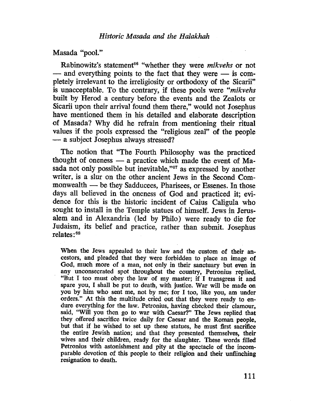Masada "pool."

Rabinowitz's statement<sup>66</sup> "whether they were *mikvehs* or not - and everything points to the fact that they were - is completely irrelevant to the irreligiosity or orthodoxy of the Sicarii" is unacceptable. To the contrary, if these pools were "mikvehs built by Herod a century before the events and the Zealots or Sicarii upon their arrival found them there," would not Josephus have mentioned them in his detailed and elaborate description of Masada? Why did he refrain from mentioning their ritual values if the pools expressed the "religious zeal" of the people - a subject Josephus always stressed?

The notion that "The Fourth Philosophy was the practiced thought of oneness - a practice which made the event of Masada not only possible but inevitable,"67 as expressed by another writer, is a slur on the other ancient Jews in the Second Commonwealth - be they Sadducees, Pharisees, or Essenes. In those days all believed in the oneness of God and practiced it; evidence for this is the historic incident of Caius Caligula who sought to install in the Temple statues of himself. Jews in Jerusalem and in Alexandria (led by Philo) were ready to die for Judaism, its belief and practice, rather than submit. Josephus relates: 68

When the Jews appealed to their law and the custom of their ancestors, and pleaded that they were forbidden to place an image of God, much more of a man, not only in their sanctuary but even in any unconsecrated spot throughout the country, Petronius replied, "But I too must obey the law of my master; if. I transgress it and spare you, I shall be put to death, with justice. War will be made on you by him who sent me, not by me; for I too, like you, am under orders." At this the multitude cried out that they were ready to endure everything for the law. Petronius, having checked their clamour, said, "Will you then go to war with Caesar?" The Jews replied that they offered sacrifce twice daiy for Caesar and the Roman people, but that if he wished to set up these statues, he must first sacrifce the entire Jewish nation; and that they presented themselves, their wives and their children, ready for the slaughter. These words filled Petronius with astonishment and pity at the spectacle of the incomparable devotion of this people to their religion and their unflinching resignation to death.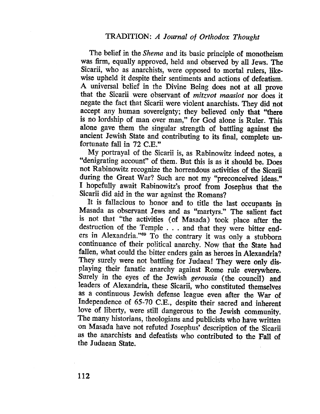The belief in the Shema and its basic principle of monotheism was firm, equally approved, held and observed by all Jews. The Sicarii, who as anarchists, were opposed to mortal rulers, likewise upheld it despite their sentiments and actions of defeatism. A universal belief in the Divine Being does not at all prove that the Sicarii were observant of mitzvot maasiot nor does it negate the fact that Sicarü were violent anarchists. They did not accept any human sovereignty; they believed only that "there is no lordship of man over man," for God alone is Ruler. This alone gave them the singular strength of battling against the ancient Jewish State and contributing to its final, complete unfortunate fall in 72 C.E."

My portrayal of the Sicarii is, as Rabinowitz indeed notes, a "denigrating account" of them. But this is as it should be. Does not Rabinowitz recognize the horrendous activities of the Sicarii during the Great War? Such are not my "preconceived ideas." I hopefully await Rabinowitz's proof from Josephus that the Sicarii did aid in the war against the Romans?

It is faIlacious to honor and to title the last occupants in Masada as observant Jews and as "martyrs." The salient fact is not that "the activities (of Masada) took place after the destruction of the Temple . . . and that they were bitter enders in Alexandria."<sup>69</sup> To the contrary it was only a stubborn continuance of their political anarchy. Now that the State had fallen, what could the bitter enders gain as heroes in Alexandria? They surely were not battling for Judaea! They were only displaying their fanatic anarchy against Rome rule everywhere. Surely in the eyes of the Jewish gerousia (the council) and leaders of Alexandria, these Sicarii, who constituted themselves as a continuous Jewish defense league even after the War of Independence of 65-70 C.E., despite their sacred and inherent love of liberty, were still dangerous to the Jewish community. The many historians, theologians and publicists who have written on Masada have not refuted Josephus' description of the Sicarii as the anarchists and defeatists who contributed to the Fall of the Judaean State.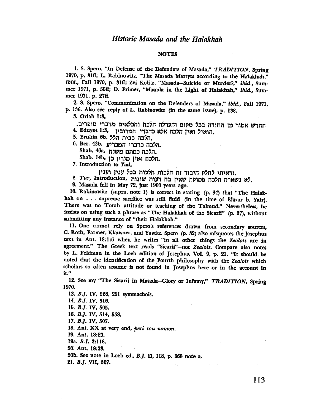#### **NOTES**

1. S. Spero, "In Defense of the Defenders of Masada," TRADITION, Spring 1970, p. 31ff; L. Rabinowitz, "The Masada Martyrs according to the Halakhah," ibid., Fall 1970, p. 31ff; Zvi Kolitz, "Masada-Suicide or Murder?," ibid., Summer 1971, p. 55ff; D. Frimer, "Masada in the Light of Halakhah," ibid., Summer 1971, p. 27ff.

2. S. Spero, "Communication on the Defenders of Masada," ibid., Fall 1971, p. 136. Also see reply of L. Rabinowitz (in the same issue), p. 138.

3. Orlah 1:3,

החדש אסור מן התורה בכל מסום והערלה הלכה והכלאים מדברי סופרים. 4. Eduyot 1:3, הואיל ואין הלכה אלא כדברי חמרובין

5. Erubin 6b, הלכה כבית הל

6. Ber. 43b, הלכה כדברי המכריע. הלכה כסתם משנה, Shab. 46a, Shab. I4b, הלכה ואין מורין כן

7. Introduction to Yad,

וראיתי לחלס חיבור זה הלכות חלכות בכל ענין וענין.

8. Tur, Introduction, שאין בה דעות שונות הלכה הלכה פסוסה שאין בה

9. Masada fell in May 72, just 1900 years ago.

10. Rabinowitz (supra, note 1) is correct in stating (p. 34) that "The Halakhah on . . . supreme sacrifice was still fluid (in the time of Elazar b. Yair). There was no Torah attitude or teaching of the Talmud." Nevertheless, he insists on using such a phrase as "The Halakhah of the Sicarii" (p. 37), without submitting any instance of "their Halakhah."

11. One cannot rely on Spero's references drawn from secondary sources, C. Roth, Farmer, Klausner, and Yawitz. Spero (p. 32) also misquotes the Josephus text in Ant. 18:1:6 when he writes "in all other things the Zealots are in agreement." The Greek text reads "Sicarii"-not Zealots. Compare also notes by L. Feldman in the Loeb edition of Josephus, Vol. 9, p. 21. "It should be noted that the identification of the Fourth philosophy with the Zealots which scholars so often assume is not found in Josephus here or in the account in it."

12. See my "The Sicarii in Masada-Glory or Infamy," TRADITION, Spring 1970.

13. B.J. IV, 228, 291 symmachois.

14. B.J. IV, 516.

15. *B.J.* IV, 505.

16. B.J. IV, 514, 558.

17. B.J. IV, 507.

18. Ant. XX at very end, peri tou nomon.

19. Ant. 18:23.

19a.  $B.J. 2:118.$ 

20. Ant. 18:23.

20b. See note in Loeb ed., B.J. II, 118, p. 368 note a.

21. B.J. VII, 327.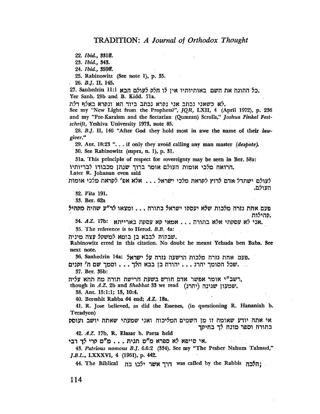22. Ibid., 331ff.

23. Ibid., 343.

24. Ibid., 359ff.

25. Rabinowitz (See note 1), p. 35.

 $. 26. B.J. II, 145.$ 

.כל ההוגה את השם באותיותיו אין לו חלק לעולם הבא 27. Sanhedrin 11:1 Yer Sanh. 28b and B. Kidd. 71a.

.לא כשאני נכתב אני נקרא נכתב ביוד הא ונקרא באלף דלת

See my "New Light from the Prophets?", JQR, LXII, 4 (April 1972), p. 236 and my "Pre-Karaism and the Sectarian (Qumran) Scrolls," Joshua Finkel Festschrift, Yeshiva University 1973, note 85.

28. B.J. II, 146 "After God they hold most in awe the name of their lawgiver."

29. Ant. 18:23 "... if only they avoid calling any man master (despote). 30. See Rabinowitz (supra, n. l), p. 31.

31a. This principle of respect for sovereignty may be seen in Ber. 58a: .הרואה מלכי אומות העולם אומר ברוך שנתן מכבודו לבריותיו Later R. Johanan even said

לעולם ישתדל אדם לרוץ לקראת מלכי ישראל... אלא אפ' לקראת מלכי אומות העולם.

32. Vita 191.

33. Ber. 62a

פעם אחת גזרה מלכות שלא יעסקו ישראל בתורה . . . ומצאו לר"ע שהיה מקהיל מהילות.

אני לא עסקתי אלא בתורה . . . אמאי קא עסקת בארייתא. 34. A.Z. 17b:

35. The reference is to Herod. B.B. 4a:

שבקוה לבבא בן בוטא למשקל עצה מיניה.

Rabinowitz erred in this citation. No doubt he meant Yehuda ben Baba. See next note.

פעם אחת גורה מלכות הרשעה גורח על ישראל. 36. Sanhedrin 14a: פעם

\_\_\_ .שכל הסומך יהרג . . . יהודה בן בבא הלך . . . וסמך שם ה' זקנים 37. Ber. 35b:

,רשב"י אומר אפשר אדם חורש בשעת חרישה תורה מה תהא עליה

though in A.Z. 2b and Shabbat 33 we read (יהרג) שמעון שגינה

38. Ant. 15:1:1; 15, 10:4.

40. Bereshit Rabba 64 end; A.Z. 18a.

41. R. Jose believed, as did the Essenes, (in questioning R. Hananiah b. Teradyon)

אי אתה יודע שאומה זו מן השמים המליכוה ואני שמעתי שאתה יושב ועוסק בתורה וספר מונח לך בחיקך

42. A.Z. 17b, R. Elazar b. Parta held

אי סייפא לא ספרא מ"ט תנית . . . מ"ט קרי לך רבי.

43. Patrious nomous B.J. 6.6:2 (334). See my "The Pesher Nahum Talmud," *J.B.L.*, LXXXVI, 4 (1961), p. 442.

ית was called by the Rabbis , הלכה was called by the Rabbis